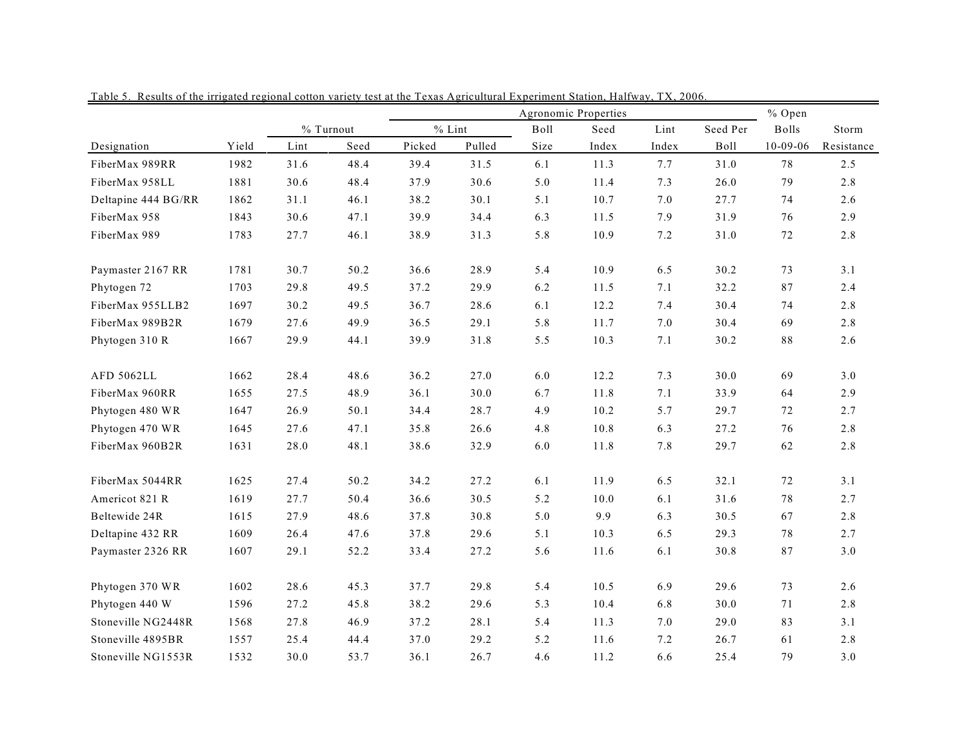|                     |       | Agronomic Properties |           |        |          |      |       |       |          | % Open         |            |  |
|---------------------|-------|----------------------|-----------|--------|----------|------|-------|-------|----------|----------------|------------|--|
|                     |       |                      | % Turnout |        | $%$ Lint | Boll | Seed  | Lint  | Seed Per | <b>Bolls</b>   | Storm      |  |
| Designation         | Yield | Lint                 | Seed      | Picked | Pulled   | Size | Index | Index | Boll     | $10 - 09 - 06$ | Resistance |  |
| FiberMax 989RR      | 1982  | 31.6                 | 48.4      | 39.4   | 31.5     | 6.1  | 11.3  | 7.7   | 31.0     | 78             | 2.5        |  |
| FiberMax 958LL      | 1881  | 30.6                 | 48.4      | 37.9   | 30.6     | 5.0  | 11.4  | 7.3   | 26.0     | 79             | 2.8        |  |
| Deltapine 444 BG/RR | 1862  | 31.1                 | 46.1      | 38.2   | 30.1     | 5.1  | 10.7  | 7.0   | 27.7     | 74             | 2.6        |  |
| FiberMax 958        | 1843  | 30.6                 | 47.1      | 39.9   | 34.4     | 6.3  | 11.5  | 7.9   | 31.9     | 76             | 2.9        |  |
| FiberMax 989        | 1783  | 27.7                 | 46.1      | 38.9   | 31.3     | 5.8  | 10.9  | 7.2   | 31.0     | 72             | 2.8        |  |
| Paymaster 2167 RR   | 1781  | 30.7                 | 50.2      | 36.6   | 28.9     | 5.4  | 10.9  | 6.5   | 30.2     | 73             | 3.1        |  |
| Phytogen 72         | 1703  | 29.8                 | 49.5      | 37.2   | 29.9     | 6.2  | 11.5  | 7.1   | 32.2     | 87             | 2.4        |  |
| FiberMax 955LLB2    | 1697  | 30.2                 | 49.5      | 36.7   | 28.6     | 6.1  | 12.2  | 7.4   | 30.4     | 74             | 2.8        |  |
| FiberMax 989B2R     | 1679  | 27.6                 | 49.9      | 36.5   | 29.1     | 5.8  | 11.7  | 7.0   | 30.4     | 69             | 2.8        |  |
| Phytogen 310 R      | 1667  | 29.9                 | 44.1      | 39.9   | 31.8     | 5.5  | 10.3  | 7.1   | 30.2     | $8\,8$         | 2.6        |  |
| <b>AFD 5062LL</b>   | 1662  | 28.4                 | 48.6      | 36.2   | 27.0     | 6.0  | 12.2  | 7.3   | 30.0     | 69             | 3.0        |  |
| FiberMax 960RR      | 1655  | 27.5                 | 48.9      | 36.1   | 30.0     | 6.7  | 11.8  | 7.1   | 33.9     | 64             | 2.9        |  |
| Phytogen 480 WR     | 1647  | 26.9                 | 50.1      | 34.4   | 28.7     | 4.9  | 10.2  | 5.7   | 29.7     | 72             | 2.7        |  |
| Phytogen 470 WR     | 1645  | 27.6                 | 47.1      | 35.8   | 26.6     | 4.8  | 10.8  | 6.3   | 27.2     | 76             | 2.8        |  |
| FiberMax 960B2R     | 1631  | 28.0                 | 48.1      | 38.6   | 32.9     | 6.0  | 11.8  | 7.8   | 29.7     | 62             | 2.8        |  |
| FiberMax 5044RR     | 1625  | 27.4                 | 50.2      | 34.2   | 27.2     | 6.1  | 11.9  | 6.5   | 32.1     | 72             | 3.1        |  |
| Americot 821 R      | 1619  | 27.7                 | 50.4      | 36.6   | 30.5     | 5.2  | 10.0  | 6.1   | 31.6     | 78             | 2.7        |  |
| Beltewide 24R       | 1615  | 27.9                 | 48.6      | 37.8   | 30.8     | 5.0  | 9.9   | 6.3   | 30.5     | 67             | 2.8        |  |
| Deltapine 432 RR    | 1609  | 26.4                 | 47.6      | 37.8   | 29.6     | 5.1  | 10.3  | 6.5   | 29.3     | 78             | 2.7        |  |
| Paymaster 2326 RR   | 1607  | 29.1                 | 52.2      | 33.4   | 27.2     | 5.6  | 11.6  | 6.1   | 30.8     | $8\,7$         | 3.0        |  |
| Phytogen 370 WR     | 1602  | 28.6                 | 45.3      | 37.7   | 29.8     | 5.4  | 10.5  | 6.9   | 29.6     | 73             | 2.6        |  |
| Phytogen 440 W      | 1596  | 27.2                 | 45.8      | 38.2   | 29.6     | 5.3  | 10.4  | 6.8   | 30.0     | 71             | 2.8        |  |
| Stoneville NG2448R  | 1568  | 27.8                 | 46.9      | 37.2   | 28.1     | 5.4  | 11.3  | 7.0   | 29.0     | 83             | 3.1        |  |
| Stoneville 4895BR   | 1557  | 25.4                 | 44.4      | 37.0   | 29.2     | 5.2  | 11.6  | 7.2   | 26.7     | 61             | 2.8        |  |
| Stoneville NG1553R  | 1532  | 30.0                 | 53.7      | 36.1   | 26.7     | 4.6  | 11.2  | 6.6   | 25.4     | 79             | 3.0        |  |

Table 5. Results of the irrigated regional cotton variety test at the Texas Agricultural Experiment Station, Halfway, TX, 2006.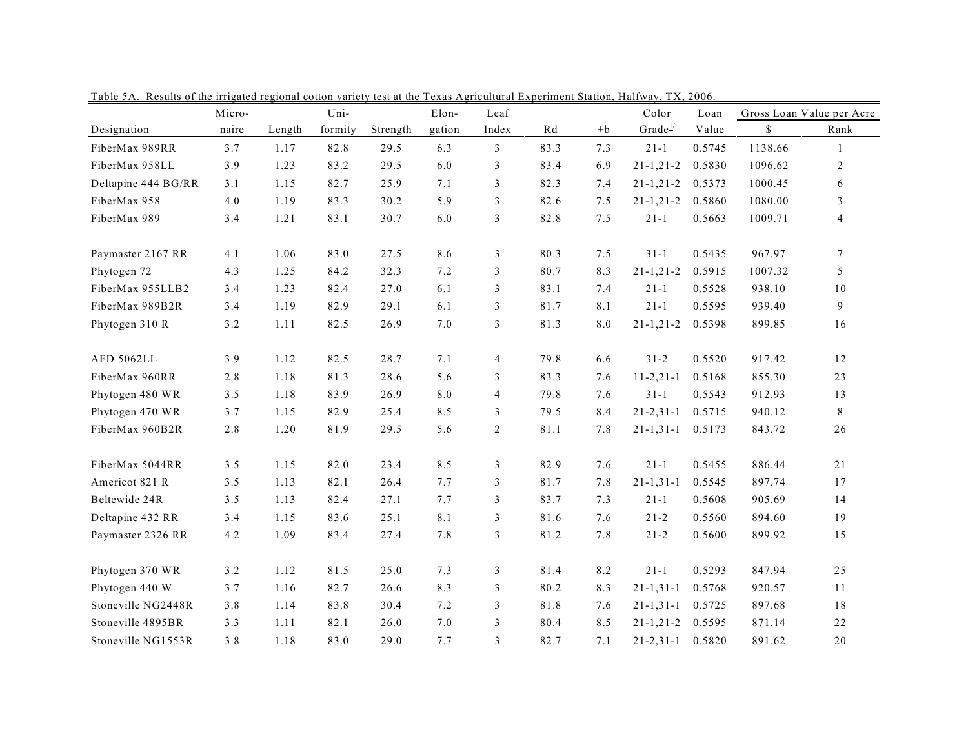|                     | Micro- |        | Uni-    |          | Elon-  | Leaf           |                        |                    | Color              | Loan   |         | Gross Loan Value per Acre |
|---------------------|--------|--------|---------|----------|--------|----------------|------------------------|--------------------|--------------------|--------|---------|---------------------------|
| Designation         | naire  | Length | formity | Strength | gation | Index          | $\mathbb{R}\mathrm{d}$ | $+b$               | Grade <sup>1</sup> | Value  | \$      | Rank                      |
| FiberMax 989RR      | 3.7    | 1.17   | 82.8    | 29.5     | 6.3    | $\mathfrak{Z}$ | 83.3                   | 7.3                | $21 - 1$           | 0.5745 | 1138.66 | $\mathbf{1}$              |
| FiberMax 958LL      | 3.9    | 1.23   | 83.2    | 29.5     | 6.0    | 3              | 83.4                   | 6.9                | $21 - 1, 21 - 2$   | 0.5830 | 1096.62 | $\overline{c}$            |
| Deltapine 444 BG/RR | 3.1    | 1.15   | 82.7    | 25.9     | 7.1    | 3              | 82.3                   | 7.4                | $21 - 1, 21 - 2$   | 0.5373 | 1000.45 | 6                         |
| FiberMax 958        | 4.0    | 1.19   | 83.3    | 30.2     | 5.9    | 3              | 82.6                   | 7.5                | $21 - 1, 21 - 2$   | 0.5860 | 1080.00 | 3                         |
| FiberMax 989        | 3.4    | 1.21   | 83.1    | 30.7     | 6.0    | $\mathfrak{Z}$ | 82.8                   | 7.5                | $21 - 1$           | 0.5663 | 1009.71 | $\overline{4}$            |
| Paymaster 2167 RR   | 4.1    | 1.06   | 83.0    | 27.5     | 8.6    | 3              | 80.3                   | 7.5                | $31 - 1$           | 0.5435 | 967.97  | $\tau$                    |
| Phytogen 72         | 4.3    | 1.25   | 84.2    | 32.3     | 7.2    | 3              | 80.7                   | 8.3                | $21 - 1, 21 - 2$   | 0.5915 | 1007.32 | 5                         |
| FiberMax 955LLB2    | 3.4    | 1.23   | 82.4    | 27.0     | 6.1    | 3              | 83.1                   | 7.4                | $21-1$             | 0.5528 | 938.10  | $1\,0$                    |
| FiberMax 989B2R     | 3.4    | 1.19   | 82.9    | 29.1     | 6.1    | 3              | 81.7                   | 8.1                | $21 - 1$           | 0.5595 | 939.40  | 9                         |
| Phytogen 310 R      | 3.2    | 1.11   | 82.5    | 26.9     | 7.0    | 3              | 81.3                   | $\boldsymbol{8.0}$ | $21 - 1, 21 - 2$   | 0.5398 | 899.85  | 16                        |
| AFD 5062LL          | 3.9    | 1.12   | 82.5    | 28.7     | 7.1    | $\overline{4}$ | 79.8                   | 6.6                | $31 - 2$           | 0.5520 | 917.42  | 12                        |
| FiberMax 960RR      | 2.8    | 1.18   | 81.3    | 28.6     | 5.6    | 3              | 83.3                   | 7.6                | $11 - 2, 21 - 1$   | 0.5168 | 855.30  | 23                        |
| Phytogen 480 WR     | 3.5    | 1.18   | 83.9    | 26.9     | 8.0    | $\overline{4}$ | 79.8                   | 7.6                | $31 - 1$           | 0.5543 | 912.93  | 13                        |
| Phytogen 470 WR     | 3.7    | 1.15   | 82.9    | 25.4     | 8.5    | 3              | 79.5                   | 8.4                | $21 - 2, 31 - 1$   | 0.5715 | 940.12  | 8                         |
| FiberMax 960B2R     | 2.8    | 1.20   | 81.9    | 29.5     | 5.6    | $\sqrt{2}$     | 81.1                   | 7.8                | $21 - 1, 31 - 1$   | 0.5173 | 843.72  | 26                        |
| FiberMax 5044RR     | 3.5    | 1.15   | 82.0    | 23.4     | 8.5    | 3              | 82.9                   | 7.6                | $21-1$             | 0.5455 | 886.44  | 21                        |
| Americot 821 R      | 3.5    | 1.13   | 82.1    | 26.4     | 7.7    | 3              | 81.7                   | 7.8                | $21 - 1, 31 - 1$   | 0.5545 | 897.74  | 17                        |
| Beltewide 24R       | 3.5    | 1.13   | 82.4    | 27.1     | 7.7    | 3              | 83.7                   | 7.3                | $21 - 1$           | 0.5608 | 905.69  | 14                        |
| Deltapine 432 RR    | 3.4    | 1.15   | 83.6    | 25.1     | 8.1    | 3              | 81.6                   | 7.6                | $21 - 2$           | 0.5560 | 894.60  | 19                        |
| Paymaster 2326 RR   | 4.2    | 1.09   | 83.4    | 27.4     | 7.8    | 3              | 81.2                   | 7.8                | $21 - 2$           | 0.5600 | 899.92  | 15                        |
| Phytogen 370 WR     | 3.2    | 1.12   | 81.5    | 25.0     | 7.3    | 3              | 81.4                   | 8.2                | $21 - 1$           | 0.5293 | 847.94  | 25                        |
| Phytogen 440 W      | 3.7    | 1.16   | 82.7    | 26.6     | 8.3    | 3              | 80.2                   | 8.3                | $21 - 1, 31 - 1$   | 0.5768 | 920.57  | 11                        |
| Stoneville NG2448R  | 3.8    | 1.14   | 83.8    | 30.4     | 7.2    | 3              | 81.8                   | 7.6                | $21 - 1, 31 - 1$   | 0.5725 | 897.68  | $1\,8$                    |
| Stoneville 4895BR   | 3.3    | 1.11   | 82.1    | 26.0     | 7.0    | 3              | 80.4                   | 8.5                | $21 - 1, 21 - 2$   | 0.5595 | 871.14  | 22                        |
| Stoneville NG1553R  | 3.8    | 1.18   | 83.0    | 29.0     | 7.7    | 3              | 82.7                   | 7.1                | $21 - 2, 31 - 1$   | 0.5820 | 891.62  | 20                        |

Table 5A. Results of the irrigated regional cotton variety test at the Texas Agricultural Experiment Station, Halfway, TX, 2006.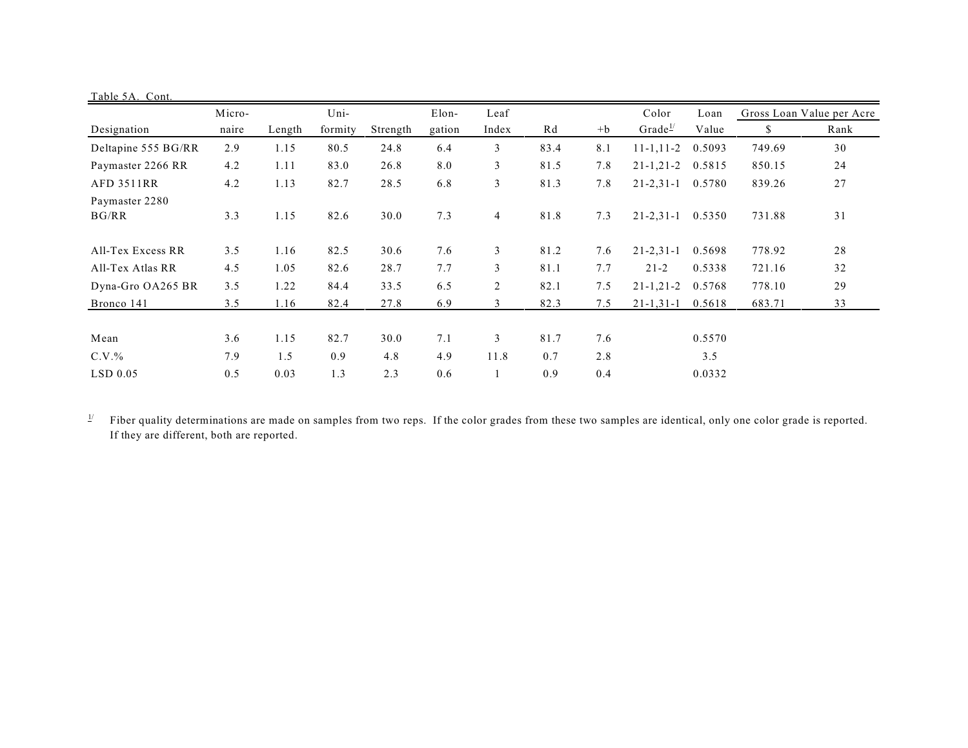| Table 5A. Cont.         |            |             |             |             |            |                |             |               |                     |                           |        |      |
|-------------------------|------------|-------------|-------------|-------------|------------|----------------|-------------|---------------|---------------------|---------------------------|--------|------|
|                         | Micro-     | Uni-        |             | Elon-       | Leaf       |                |             | Color<br>Loan |                     | Gross Loan Value per Acre |        |      |
| Designation             | naire      | Length      | formity     | Strength    | gation     | Index          | Rd          | $+b$          | Grade $\frac{1}{2}$ | Value                     | S.     | Rank |
| Deltapine 555 BG/RR     | 2.9        | 1.15        | 80.5        | 24.8        | 6.4        | 3              | 83.4        | 8.1           | $11 - 1, 11 - 2$    | 0.5093                    | 749.69 | 30   |
| Paymaster 2266 RR       | 4.2        | 1.11        | 83.0        | 26.8        | 8.0        | 3              | 81.5        | 7.8           | $21 - 1, 21 - 2$    | 0.5815                    | 850.15 | 24   |
| <b>AFD 3511RR</b>       | 4.2        | 1.13        | 82.7        | 28.5        | 6.8        | 3              | 81.3        | 7.8           | $21 - 2, 31 - 1$    | 0.5780                    | 839.26 | 27   |
| Paymaster 2280<br>BG/RR | 3.3        | 1.15        | 82.6        | 30.0        | 7.3        | 4              | 81.8        | 7.3           | $21 - 2, 31 - 1$    | 0.5350                    | 731.88 | 31   |
| All-Tex Excess RR       | 3.5        | 1.16        | 82.5        | 30.6        | 7.6        | 3              | 81.2        | 7.6           | $21 - 2, 31 - 1$    | 0.5698                    | 778.92 | 28   |
| All-Tex Atlas RR        | 4.5        | 1.05        | 82.6        | 28.7        | 7.7        | 3              | 81.1        | 7.7           | $21 - 2$            | 0.5338                    | 721.16 | 32   |
| Dyna-Gro OA265 BR       | 3.5        | 1.22        | 84.4        | 33.5        | 6.5        | $\overline{2}$ | 82.1        | 7.5           | $21 - 1, 21 - 2$    | 0.5768                    | 778.10 | 29   |
| Bronco 141              | 3.5        | 1.16        | 82.4        | 27.8        | 6.9        | 3              | 82.3        | 7.5           | $21 - 1, 31 - 1$    | 0.5618                    | 683.71 | 33   |
| Mean<br>$C.V.$ %        | 3.6<br>7.9 | 1.15<br>1.5 | 82.7<br>0.9 | 30.0<br>4.8 | 7.1<br>4.9 | 3<br>11.8      | 81.7<br>0.7 | 7.6<br>2.8    |                     | 0.5570<br>3.5             |        |      |
| $LSD$ 0.05              | 0.5        | 0.03        | 1.3         | 2.3         | 0.6        |                | 0.9         | 0.4           |                     | 0.0332                    |        |      |

 $\frac{1}{2}$  Fiber quality determinations are made on samples from two reps. If the color grades from these two samples are identical, only one color grade is reported. If they are different, both are reported.